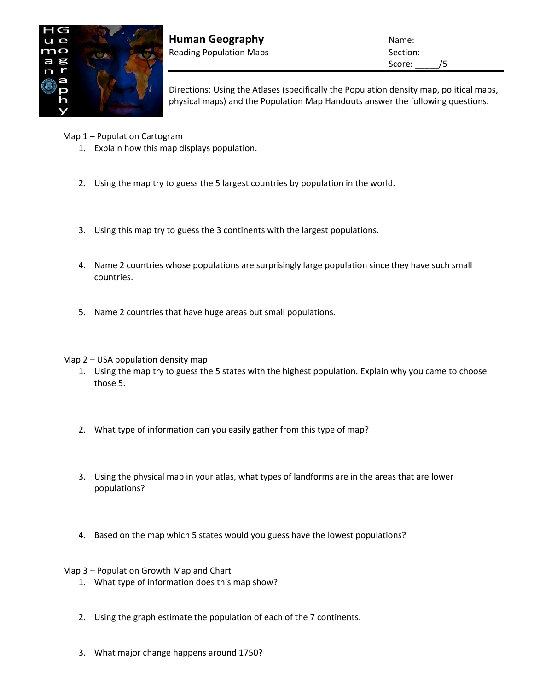

**Human Geography Name:** Name: Reading Population Maps **Section:** Section:

Score: /5

Directions: Using the Atlases (specifically the Population density map, political maps, physical maps) and the Population Map Handouts answer the following questions.

Map 1 – Population Cartogram

- 1. Explain how this map displays population.
- 2. Using the map try to guess the 5 largest countries by population in the world.
- 3. Using this map try to guess the 3 continents with the largest populations.
- 4. Name 2 countries whose populations are surprisingly large population since they have such small countries.
- 5. Name 2 countries that have huge areas but small populations.

## Map 2 – USA population density map

- 1. Using the map try to guess the 5 states with the highest population. Explain why you came to choose those 5.
- 2. What type of information can you easily gather from this type of map?
- 3. Using the physical map in your atlas, what types of landforms are in the areas that are lower populations?
- 4. Based on the map which 5 states would you guess have the lowest populations?

## Map 3 – Population Growth Map and Chart

- 1. What type of information does this map show?
- 2. Using the graph estimate the population of each of the 7 continents.
- 3. What major change happens around 1750?